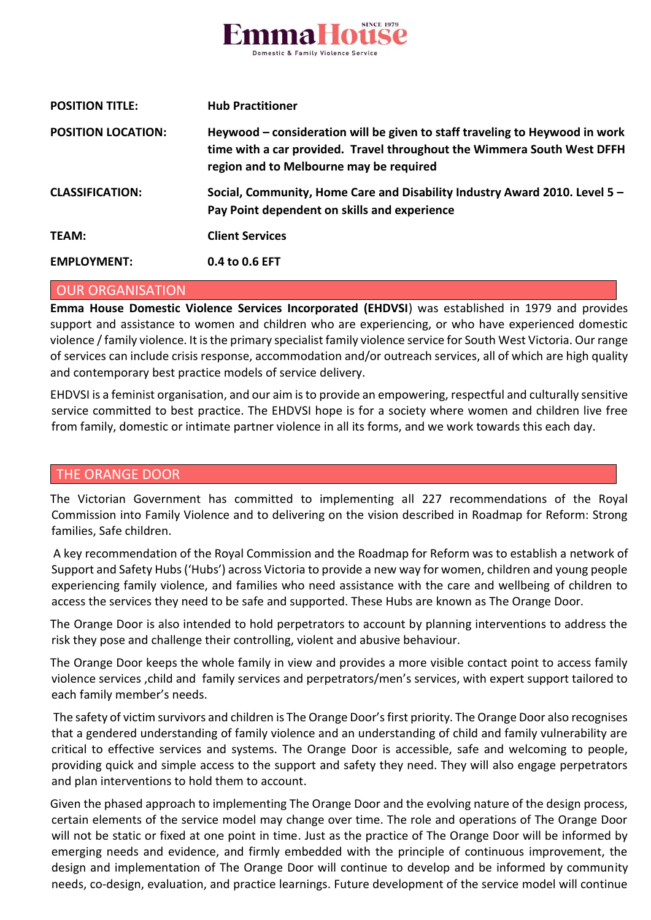

| <b>POSITION TITLE:</b>    | <b>Hub Practitioner</b>                                                                                                                                                                           |
|---------------------------|---------------------------------------------------------------------------------------------------------------------------------------------------------------------------------------------------|
| <b>POSITION LOCATION:</b> | Heywood – consideration will be given to staff traveling to Heywood in work<br>time with a car provided. Travel throughout the Wimmera South West DFFH<br>region and to Melbourne may be required |
| <b>CLASSIFICATION:</b>    | Social, Community, Home Care and Disability Industry Award 2010. Level 5 -<br>Pay Point dependent on skills and experience                                                                        |
| <b>TEAM:</b>              | <b>Client Services</b>                                                                                                                                                                            |
| <b>EMPLOYMENT:</b>        | 0.4 to 0.6 EFT                                                                                                                                                                                    |

#### OUR ORGANISATION

**Emma House Domestic Violence Services Incorporated (EHDVSI**) was established in 1979 and provides support and assistance to women and children who are experiencing, or who have experienced domestic violence /family violence. It is the primary specialist family violence service for South West Victoria. Our range of services can include crisis response, accommodation and/or outreach services, all of which are high quality and contemporary best practice models of service delivery.

EHDVSI is a feminist organisation, and our aim is to provide an empowering, respectful and culturally sensitive service committed to best practice. The EHDVSI hope is for a society where women and children live free from family, domestic or intimate partner violence in all its forms, and we work towards this each day.

#### THE ORANGE DOOR

The Victorian Government has committed to implementing all 227 recommendations of the Royal Commission into Family Violence and to delivering on the vision described in Roadmap for Reform: Strong families, Safe children.

A key recommendation of the Royal Commission and the Roadmap for Reform was to establish a network of Support and Safety Hubs ('Hubs') across Victoria to provide a new way for women, children and young people experiencing family violence, and families who need assistance with the care and wellbeing of children to access the services they need to be safe and supported. These Hubs are known as The Orange Door.

The Orange Door is also intended to hold perpetrators to account by planning interventions to address the risk they pose and challenge their controlling, violent and abusive behaviour.

The Orange Door keeps the whole family in view and provides a more visible contact point to access family violence services ,child and family services and perpetrators/men's services, with expert support tailored to each family member's needs.

The safety of victim survivors and children is The Orange Door's first priority. The Orange Door also recognises that a gendered understanding of family violence and an understanding of child and family vulnerability are critical to effective services and systems. The Orange Door is accessible, safe and welcoming to people, providing quick and simple access to the support and safety they need. They will also engage perpetrators and plan interventions to hold them to account.

Given the phased approach to implementing The Orange Door and the evolving nature of the design process, certain elements of the service model may change over time. The role and operations of The Orange Door will not be static or fixed at one point in time. Just as the practice of The Orange Door will be informed by emerging needs and evidence, and firmly embedded with the principle of continuous improvement, the design and implementation of The Orange Door will continue to develop and be informed by community needs, co-design, evaluation, and practice learnings. Future development of the service model will continue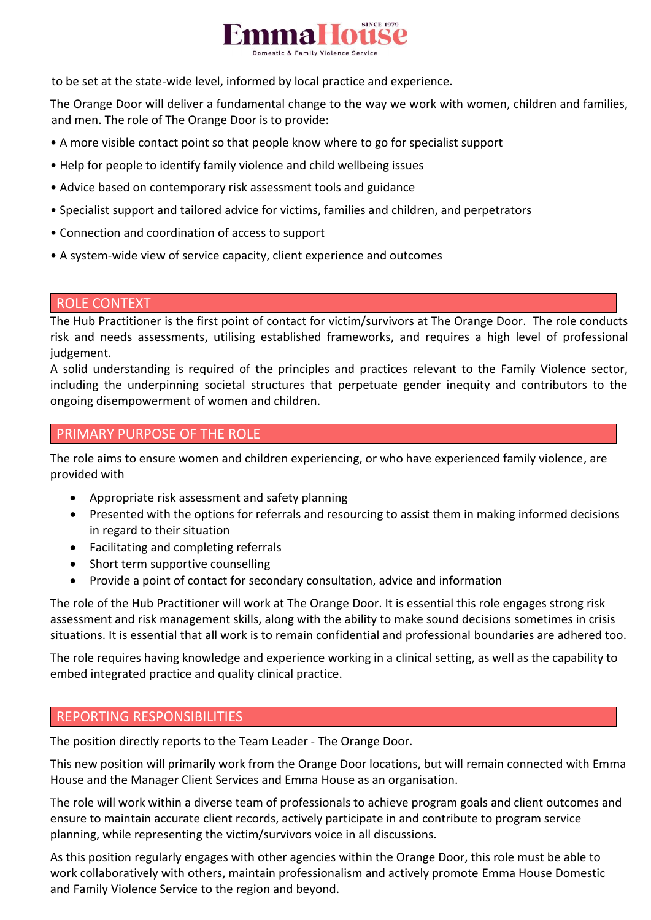

to be set at the state-wide level, informed by local practice and experience.

The Orange Door will deliver a fundamental change to the way we work with women, children and families, and men. The role of The Orange Door is to provide:

- A more visible contact point so that people know where to go for specialist support
- Help for people to identify family violence and child wellbeing issues
- Advice based on contemporary risk assessment tools and guidance
- Specialist support and tailored advice for victims, families and children, and perpetrators
- Connection and coordination of access to support
- A system-wide view of service capacity, client experience and outcomes

#### ROLE CONTEXT

The Hub Practitioner is the first point of contact for victim/survivors at The Orange Door. The role conducts risk and needs assessments, utilising established frameworks, and requires a high level of professional judgement.

A solid understanding is required of the principles and practices relevant to the Family Violence sector, including the underpinning societal structures that perpetuate gender inequity and contributors to the ongoing disempowerment of women and children.

## PRIMARY PURPOSE OF THE ROLE

The role aims to ensure women and children experiencing, or who have experienced family violence, are provided with

- Appropriate risk assessment and safety planning
- Presented with the options for referrals and resourcing to assist them in making informed decisions in regard to their situation
- Facilitating and completing referrals
- Short term supportive counselling
- Provide a point of contact for secondary consultation, advice and information

The role of the Hub Practitioner will work at The Orange Door. It is essential this role engages strong risk assessment and risk management skills, along with the ability to make sound decisions sometimes in crisis situations. It is essential that all work is to remain confidential and professional boundaries are adhered too.

The role requires having knowledge and experience working in a clinical setting, as well as the capability to embed integrated practice and quality clinical practice.

## REPORTING RESPONSIBILITIES

The position directly reports to the Team Leader - The Orange Door.

This new position will primarily work from the Orange Door locations, but will remain connected with Emma House and the Manager Client Services and Emma House as an organisation.

The role will work within a diverse team of professionals to achieve program goals and client outcomes and ensure to maintain accurate client records, actively participate in and contribute to program service planning, while representing the victim/survivors voice in all discussions.

As this position regularly engages with other agencies within the Orange Door, this role must be able to work collaboratively with others, maintain professionalism and actively promote Emma House Domestic and Family Violence Service to the region and beyond.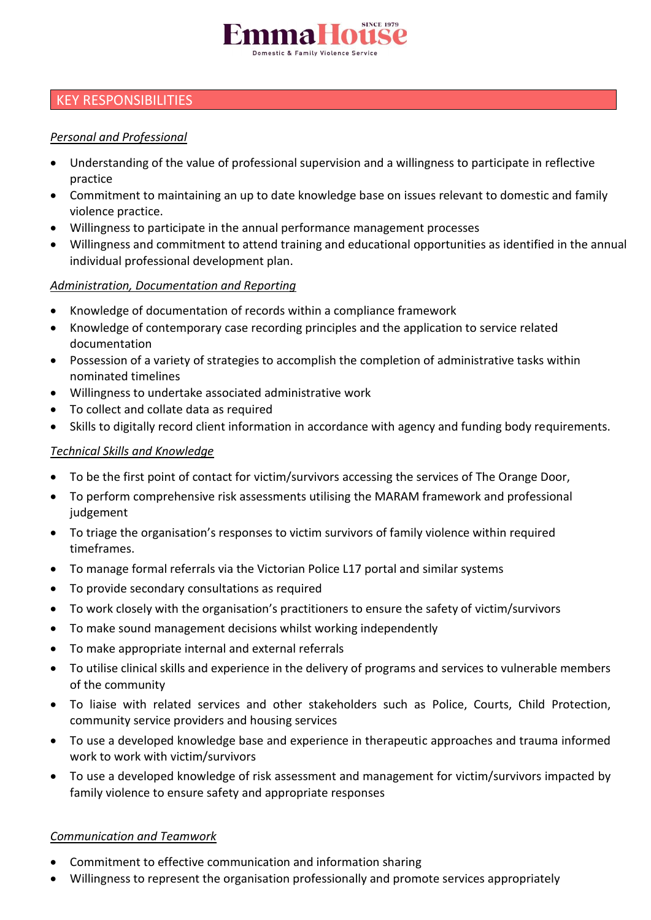

# KEY RESPONSIBILITIES

## *Personal and Professional*

- Understanding of the value of professional supervision and a willingness to participate in reflective practice
- Commitment to maintaining an up to date knowledge base on issues relevant to domestic and family violence practice.
- Willingness to participate in the annual performance management processes
- Willingness and commitment to attend training and educational opportunities as identified in the annual individual professional development plan.

### *Administration, Documentation and Reporting*

- Knowledge of documentation of records within a compliance framework
- Knowledge of contemporary case recording principles and the application to service related documentation
- Possession of a variety of strategies to accomplish the completion of administrative tasks within nominated timelines
- Willingness to undertake associated administrative work
- To collect and collate data as required
- Skills to digitally record client information in accordance with agency and funding body requirements.

### *Technical Skills and Knowledge*

- To be the first point of contact for victim/survivors accessing the services of The Orange Door,
- To perform comprehensive risk assessments utilising the MARAM framework and professional judgement
- To triage the organisation's responses to victim survivors of family violence within required timeframes.
- To manage formal referrals via the Victorian Police L17 portal and similar systems
- To provide secondary consultations as required
- To work closely with the organisation's practitioners to ensure the safety of victim/survivors
- To make sound management decisions whilst working independently
- To make appropriate internal and external referrals
- To utilise clinical skills and experience in the delivery of programs and services to vulnerable members of the community
- To liaise with related services and other stakeholders such as Police, Courts, Child Protection, community service providers and housing services
- To use a developed knowledge base and experience in therapeutic approaches and trauma informed work to work with victim/survivors
- To use a developed knowledge of risk assessment and management for victim/survivors impacted by family violence to ensure safety and appropriate responses

#### *Communication and Teamwork*

- Commitment to effective communication and information sharing
- Willingness to represent the organisation professionally and promote services appropriately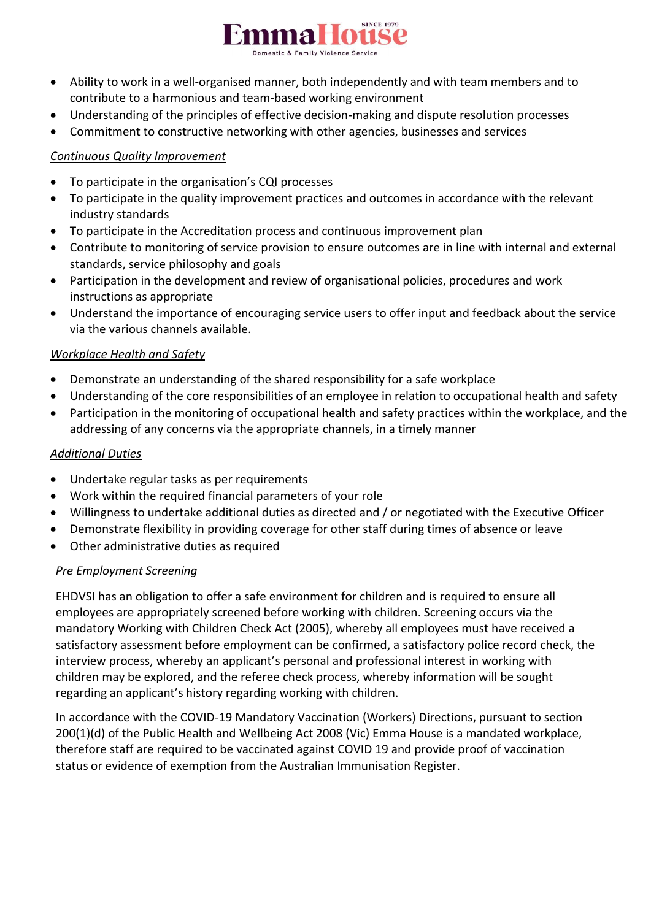

- Ability to work in a well-organised manner, both independently and with team members and to contribute to a harmonious and team-based working environment
- Understanding of the principles of effective decision-making and dispute resolution processes
- Commitment to constructive networking with other agencies, businesses and services

## *Continuous Quality Improvement*

- To participate in the organisation's CQI processes
- To participate in the quality improvement practices and outcomes in accordance with the relevant industry standards
- To participate in the Accreditation process and continuous improvement plan
- Contribute to monitoring of service provision to ensure outcomes are in line with internal and external standards, service philosophy and goals
- Participation in the development and review of organisational policies, procedures and work instructions as appropriate
- Understand the importance of encouraging service users to offer input and feedback about the service via the various channels available.

### *Workplace Health and Safety*

- Demonstrate an understanding of the shared responsibility for a safe workplace
- Understanding of the core responsibilities of an employee in relation to occupational health and safety
- Participation in the monitoring of occupational health and safety practices within the workplace, and the addressing of any concerns via the appropriate channels, in a timely manner

#### *Additional Duties*

- Undertake regular tasks as per requirements
- Work within the required financial parameters of your role
- Willingness to undertake additional duties as directed and / or negotiated with the Executive Officer
- Demonstrate flexibility in providing coverage for other staff during times of absence or leave
- Other administrative duties as required

#### *Pre Employment Screening*

EHDVSI has an obligation to offer a safe environment for children and is required to ensure all employees are appropriately screened before working with children. Screening occurs via the mandatory Working with Children Check Act (2005), whereby all employees must have received a satisfactory assessment before employment can be confirmed, a satisfactory police record check, the interview process, whereby an applicant's personal and professional interest in working with children may be explored, and the referee check process, whereby information will be sought regarding an applicant's history regarding working with children.

In accordance with the COVID-19 Mandatory Vaccination (Workers) Directions, pursuant to section 200(1)(d) of the Public Health and Wellbeing Act 2008 (Vic) Emma House is a mandated workplace, therefore staff are required to be vaccinated against COVID 19 and provide proof of vaccination status or evidence of exemption from the Australian Immunisation Register.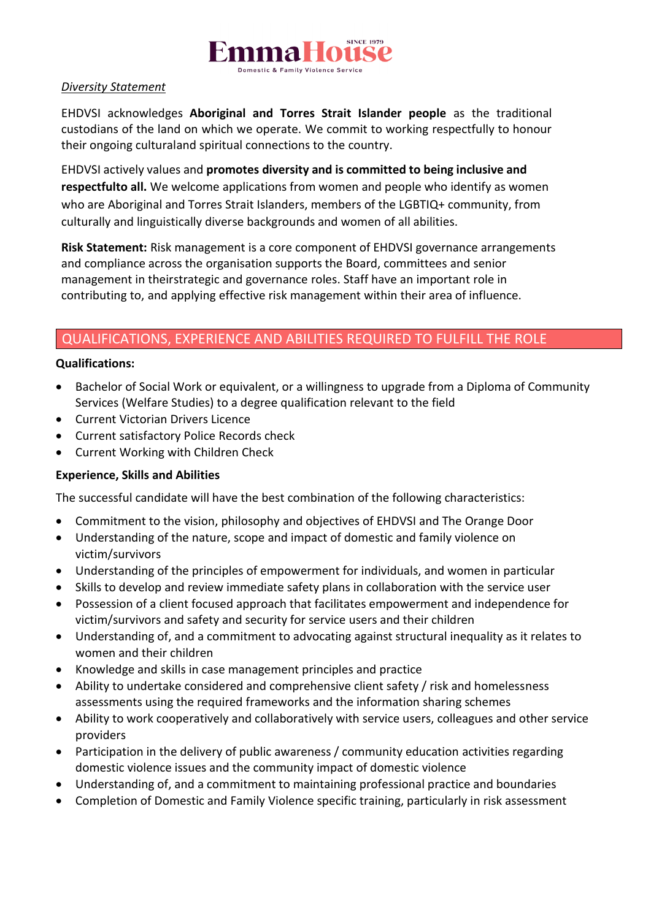

## *Diversity Statement*

EHDVSI acknowledges **Aboriginal and Torres Strait Islander people** as the traditional custodians of the land on which we operate. We commit to working respectfully to honour their ongoing culturaland spiritual connections to the country.

EHDVSI actively values and **promotes diversity and is committed to being inclusive and respectfulto all.** We welcome applications from women and people who identify as women who are Aboriginal and Torres Strait Islanders, members of the LGBTIQ+ community, from culturally and linguistically diverse backgrounds and women of all abilities.

**Risk Statement:** Risk management is a core component of EHDVSI governance arrangements and compliance across the organisation supports the Board, committees and senior management in theirstrategic and governance roles. Staff have an important role in contributing to, and applying effective risk management within their area of influence.

## QUALIFICATIONS, EXPERIENCE AND ABILITIES REQUIRED TO FULFILL THE ROLE

### **Qualifications:**

- Bachelor of Social Work or equivalent, or a willingness to upgrade from a Diploma of Community Services (Welfare Studies) to a degree qualification relevant to the field
- Current Victorian Drivers Licence
- Current satisfactory Police Records check
- Current Working with Children Check

## **Experience, Skills and Abilities**

The successful candidate will have the best combination of the following characteristics:

- Commitment to the vision, philosophy and objectives of EHDVSI and The Orange Door
- Understanding of the nature, scope and impact of domestic and family violence on victim/survivors
- Understanding of the principles of empowerment for individuals, and women in particular
- Skills to develop and review immediate safety plans in collaboration with the service user
- Possession of a client focused approach that facilitates empowerment and independence for victim/survivors and safety and security for service users and their children
- Understanding of, and a commitment to advocating against structural inequality as it relates to women and their children
- Knowledge and skills in case management principles and practice
- Ability to undertake considered and comprehensive client safety / risk and homelessness assessments using the required frameworks and the information sharing schemes
- Ability to work cooperatively and collaboratively with service users, colleagues and other service providers
- Participation in the delivery of public awareness / community education activities regarding domestic violence issues and the community impact of domestic violence
- Understanding of, and a commitment to maintaining professional practice and boundaries
- Completion of Domestic and Family Violence specific training, particularly in risk assessment